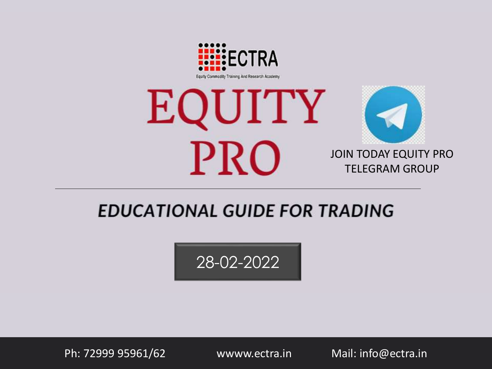



# **EDUCATIONAL GUIDE FOR TRADING**

28-02-2022

Ph: 72999 95961/62 wwww.ectra.in Mail: info@ectra.in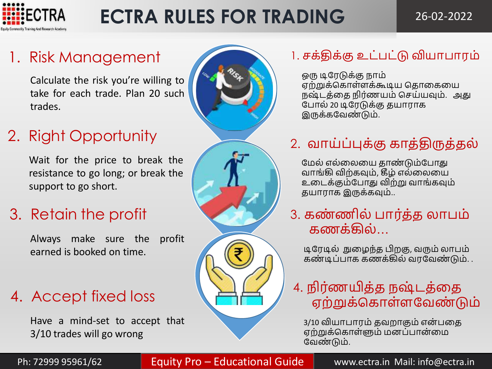

# **ECTRA RULES FOR TRADING**

26-02-2022

# 1. Risk Management

Calculate the risk you're willing to take for each trade. Plan 20 such trades.

# 2. Right Opportunity

Wait for the price to break the resistance to go long; or break the support to go short.

# 3. Retain the profit

Always make sure the profit earned is booked on time.

# 4. Accept fixed loss

Have a mind-set to accept that 3/10 trades will go wrong





# 1. சக்திக்கு உட்பட்டு வியாபாரம்

ஒரு டிவரடுக்கு நாம் ஏற்றுக்ககாள்ளக்கூடிய கதாதகதய நஷ் டத்தத நிர்ணயம் கசய்யவும். அது வபால் 20 டிவரடுக்கு தயாராக இருக்கவேண்டும்.

# 2. வாய்ப்புக்கு காத்திருத்தல்

மேல் எல்லையை தாண்டும்போது வாங்கி விற்கவும், கீழ் எல்தலதய உதடக்கும்வபாது விற்று வாங்கவும் தயாராக இருக்கவும்..

3. கண் ணில் பார்த்த லாபம் கணக்கில்…

டிவரடில் நுதழந்த பிறகு, வரும் லாபம் கண் டிப்பாக கணக்கில் வரவவண் டும். .

# 4. நிர்ணயித்த நஷ்டத்தை ஏற்றுக்கொள்ளவேண்டும்

3/10 வியாபாரம் தவறாகும் என்பதை ஏற்றுக்ககாள்ளும் மனப்பான்தம வேண்டும்.

Ph: 72999 95961/62 **Equity Pro – Educational Guide | Mullional Guide | Guide | Guide | Mail: info@ectra.in**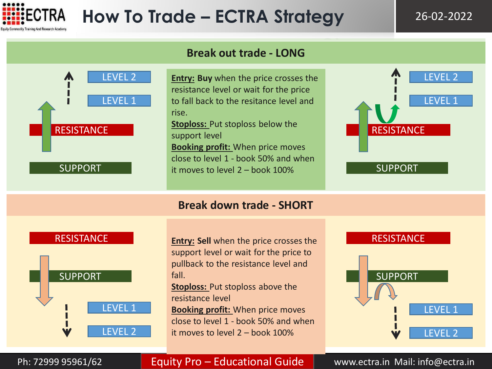



Ph: 72999 95961/62 **Company Pro – Educational Guide Cuide Multish** Mail: info@ectra.in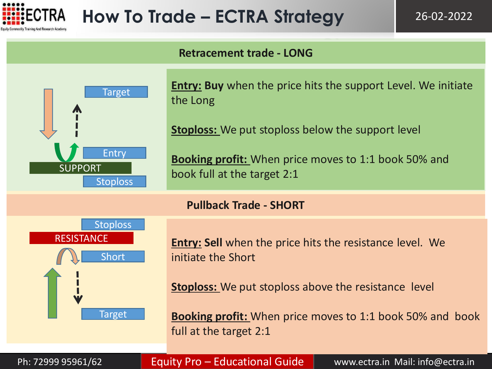

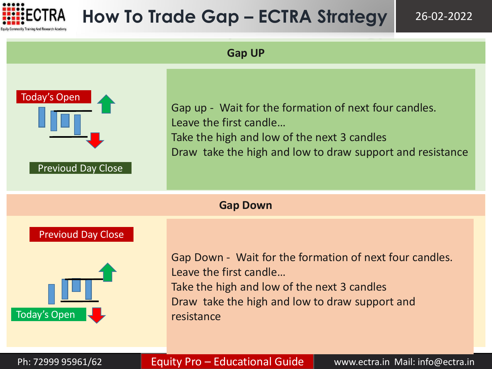

# **How To Trade Gap – ECTRA Strategy**

26-02-2022

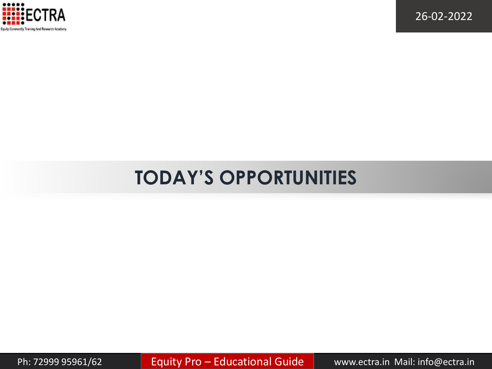

# **TODAY'S OPPORTUNITIES**

Ph: 72999 95961/62 **Equity Pro – Educational Guide | Www.ectra.in Mail: info@ectra.in**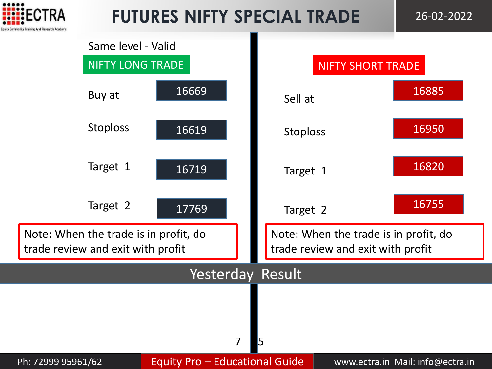

# **FUTURES NIFTY SPECIAL TRADE** 26-02-2022

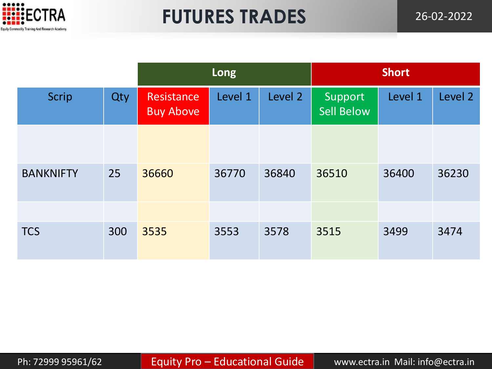

# **FUTURES TRADES** 26-02-2022

|                  |     | Long                           |         |         | <b>Short</b>                 |         |         |  |
|------------------|-----|--------------------------------|---------|---------|------------------------------|---------|---------|--|
| <b>Scrip</b>     | Qty | Resistance<br><b>Buy Above</b> | Level 1 | Level 2 | Support<br><b>Sell Below</b> | Level 1 | Level 2 |  |
|                  |     |                                |         |         |                              |         |         |  |
| <b>BANKNIFTY</b> | 25  | 36660                          | 36770   | 36840   | 36510                        | 36400   | 36230   |  |
|                  |     |                                |         |         |                              |         |         |  |
| <b>TCS</b>       | 300 | 3535                           | 3553    | 3578    | 3515                         | 3499    | 3474    |  |

Ph: 72999 95961/62 **Equity Pro – Educational Guide Www.ectra.in Mail: info@ectra.in**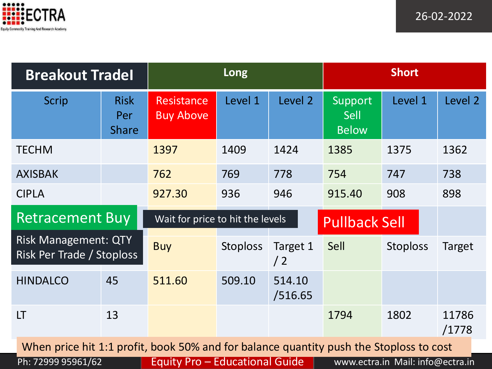

| <b>Breakout Tradel</b>                                   |                                                                                        |                                       | Long            |                   | <b>Short</b>                           |                                  |                |  |  |  |
|----------------------------------------------------------|----------------------------------------------------------------------------------------|---------------------------------------|-----------------|-------------------|----------------------------------------|----------------------------------|----------------|--|--|--|
| <b>Scrip</b>                                             | <b>Risk</b><br>Per<br><b>Share</b>                                                     | <b>Resistance</b><br><b>Buy Above</b> | Level 1         | Level 2           | Support<br><b>Sell</b><br><b>Below</b> | Level 1                          | Level 2        |  |  |  |
| <b>TECHM</b>                                             |                                                                                        | 1397                                  | 1409            | 1424              | 1385                                   | 1375                             | 1362           |  |  |  |
| <b>AXISBAK</b>                                           |                                                                                        | 762                                   | 769             | 778               | 754                                    | 747                              | 738            |  |  |  |
| <b>CIPLA</b>                                             |                                                                                        | 927.30                                | 936             | 946               | 915.40                                 | 908                              | 898            |  |  |  |
| <b>Retracement Buy</b>                                   |                                                                                        | Wait for price to hit the levels      |                 |                   | <b>Pullback Sell</b>                   |                                  |                |  |  |  |
| <b>Risk Management: QTY</b><br>Risk Per Trade / Stoploss |                                                                                        | <b>Buy</b>                            | <b>Stoploss</b> | Target 1<br>/2    | Sell                                   | <b>Stoploss</b>                  | Target         |  |  |  |
| <b>HINDALCO</b>                                          | 45                                                                                     | 511.60                                | 509.10          | 514.10<br>/516.65 |                                        |                                  |                |  |  |  |
| LT                                                       | 13                                                                                     |                                       |                 |                   | 1794                                   | 1802                             | 11786<br>/1778 |  |  |  |
|                                                          | When price hit 1:1 profit, book 50% and for balance quantity push the Stoploss to cost |                                       |                 |                   |                                        |                                  |                |  |  |  |
| Ph: 72999 95961/62                                       |                                                                                        | Equity Pro - Educational Guide        |                 |                   |                                        | www.ectra.in Mail: info@ectra.in |                |  |  |  |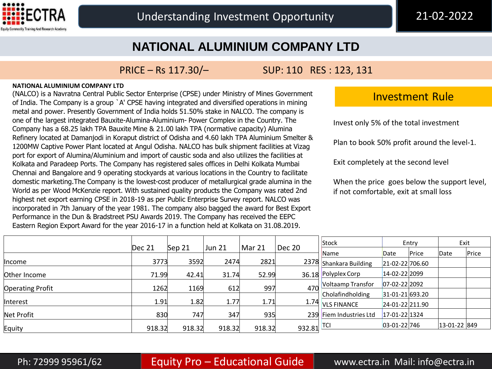

### **NATIONAL ALUMINIUM COMPANY LTD**

### PRICE – Rs 117.30/– SUP: 110 RES : 123, 131

### **NATIONAL ALUMINIUM COMPANY LTD**

(NALCO) is a Navratna Central Public Sector Enterprise (CPSE) under Ministry of Mines Government of India. The Company is a group `A' CPSE having integrated and diversified operations in mining metal and power. Presently Government of India holds 51.50% stake in NALCO. The company is one of the largest integrated Bauxite-Alumina-Aluminium- Power Complex in the Country. The Company has a 68.25 lakh TPA Bauxite Mine & 21.00 lakh TPA (normative capacity) Alumina Refinery located at Damanjodi in Koraput district of Odisha and 4.60 lakh TPA Aluminium Smelter & 1200MW Captive Power Plant located at Angul Odisha. NALCO has bulk shipment facilities at Vizag port for export of Alumina/Aluminium and import of caustic soda and also utilizes the facilities at Kolkata and Paradeep Ports. The Company has registered sales offices in Delhi Kolkata Mumbai Chennai and Bangalore and 9 operating stockyards at various locations in the Country to facilitate domestic marketing.The Company is the lowest-cost producer of metallurgical grade alumina in the World as per Wood McKenzie report. With sustained quality products the Company was rated 2nd highest net export earning CPSE in 2018-19 as per Public Enterprise Survey report. NALCO was incorporated in 7th January of the year 1981. The company also bagged the award for Best Export Performance in the Dun & Bradstreet PSU Awards 2019. The Company has received the EEPC Eastern Region Export Award for the year 2016-17 in a function held at Kolkata on 31.08.2019.

### Investment Rule

Invest only 5% of the total investment

Plan to book 50% profit around the level-1.

Exit completely at the second level

When the price goes below the support level, if not comfortable, exit at small loss

|                         |        |        |        |        |            | Stock                   | Entry              |       | Exit            |       |
|-------------------------|--------|--------|--------|--------|------------|-------------------------|--------------------|-------|-----------------|-------|
|                         | Dec 21 | Sep 21 | Jun 21 | Mar 21 | Dec 20     | Name                    | Date               | Price | Date            | Price |
| ∥ncome                  | 3773   | 3592   | 2474   | 2821   |            | 2378 Shankara Building  | 21-02-22 706.60    |       |                 |       |
| Other Income            | 71.99  | 42.41  | 31.74  | 52.99  |            | 36.18 Polyplex Corp     | 14-02-22 2099      |       |                 |       |
| <b>Operating Profit</b> | 1262   | 1169   | 612    | 997    | 470        | Voltaamp Transfor       | 07-02-22 2092      |       |                 |       |
|                         |        |        |        |        |            | Cholafindholding        | 31-01-21 693.20    |       |                 |       |
| Interest                | 1.91   | 1.82   | 1.77   | 1.71   |            | 1.74 VLS FINANCE        | 24-01-22 211.90    |       |                 |       |
| Net Profit              | 830    | 747    | 347    | 935    |            | 239 Fiem Industries Ltd | 17-01-22 1324      |       |                 |       |
| Equity                  | 918.32 | 918.32 | 918.32 | 918.32 | 932.81 TCI |                         | $03 - 01 - 22$ 746 |       | $ 13-01-22 849$ |       |

### Ph: 72999 95961/62 **Equity Pro – Educational Guide | www.ectra.in Mail: info@ectra.in**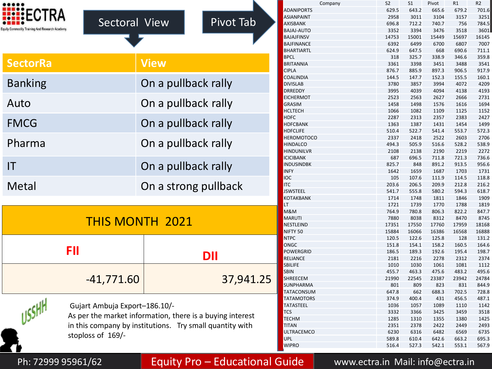| FCT<br>sodily Training And Research Academy | Sectoral View                                                                                                                                          |                      | <b>Pivot Tab</b> |  |  |  |
|---------------------------------------------|--------------------------------------------------------------------------------------------------------------------------------------------------------|----------------------|------------------|--|--|--|
| <b>SectorRa</b>                             |                                                                                                                                                        | <b>View</b>          |                  |  |  |  |
| <b>Banking</b>                              |                                                                                                                                                        | On a pullback rally  |                  |  |  |  |
| Auto                                        |                                                                                                                                                        | On a pullback rally  |                  |  |  |  |
| <b>FMCG</b>                                 |                                                                                                                                                        | On a pullback rally  |                  |  |  |  |
| Pharma                                      |                                                                                                                                                        | On a pullback rally  |                  |  |  |  |
| IT                                          |                                                                                                                                                        | On a pullback rally  |                  |  |  |  |
| Metal                                       |                                                                                                                                                        | On a strong pullback |                  |  |  |  |
|                                             | <b>THIS MONTH 2021</b>                                                                                                                                 |                      |                  |  |  |  |
| FII                                         |                                                                                                                                                        | <b>DII</b>           |                  |  |  |  |
|                                             | $-41,771.60$                                                                                                                                           | 37,941.25            |                  |  |  |  |
| USSHh                                       | Gujart Ambuja Export-186.10/-<br>As per the market information, there is a buying interest<br>in this company by institutions. Try small quantity with |                      |                  |  |  |  |

|                       | Company             | S <sub>2</sub> | S <sub>1</sub> | Pivot | R1    | R <sub>2</sub> |
|-----------------------|---------------------|----------------|----------------|-------|-------|----------------|
|                       | ADANIPORTS          | 629.5          | 643.2          | 665.6 | 679.2 | 701.6          |
|                       | <b>ASIANPAINT</b>   | 2958           | 3011           | 3104  | 3157  | 3251           |
| Pivot Tab             | <b>AXISBANK</b>     | 696.8          | 712.2          | 740.7 | 756   | 784.5          |
|                       | <b>BAJAJ-AUTO</b>   | 3352           | 3394           | 3476  | 3518  | 3601           |
|                       | <b>BAJAJFINSV</b>   | 14753          | 15001          | 15449 | 15697 | 16145          |
|                       | <b>BAJFINANCE</b>   | 6392           | 6499           | 6700  | 6807  | 7007           |
|                       | <b>BHARTIARTL</b>   | 624.9          | 647.5          | 668   | 690.6 | 711.1          |
|                       | <b>BPCL</b>         | 318            | 325.7          | 338.9 | 346.6 | 359.8          |
|                       | <b>BRITANNIA</b>    | 3361           | 3398           | 3451  | 3488  | 3541           |
|                       | <b>CIPLA</b>        | 876.7          | 885.9          | 897.3 | 906.5 | 917.9          |
|                       | COALINDIA           | 144.5          | 147.7          | 152.3 | 155.5 | 160.1          |
| rally                 | <b>DIVISLAB</b>     | 3780           | 3857           | 3994  | 4072  | 4209           |
|                       | DRREDDY             | 3995           | 4039           | 4094  | 4138  | 4193           |
|                       | <b>EICHERMOT</b>    | 2523           | 2563           | 2627  | 2666  | 2731           |
| rally                 | <b>GRASIM</b>       | 1458           | 1498           | 1576  | 1616  | 1694           |
|                       | <b>HCLTECH</b>      | 1066           | 1082           | 1109  | 1125  | 1152           |
|                       | <b>HDFC</b>         | 2287           | 2313           | 2357  | 2383  | 2427           |
| rally                 | <b>HDFCBANK</b>     | 1363           | 1387           | 1431  | 1454  | 1499           |
|                       | <b>HDFCLIFE</b>     | 510.4          | 522.7          | 541.4 | 553.7 | 572.3          |
|                       | <b>HEROMOTOCO</b>   | 2337           | 2418           | 2522  | 2603  | 2706           |
| rally                 | <b>HINDALCO</b>     | 494.3          | 505.9          | 516.6 | 528.2 | 538.9          |
|                       | <b>HINDUNILVR</b>   | 2108           | 2138           | 2190  | 2219  | 2272           |
|                       | <b>ICICIBANK</b>    | 687            | 696.5          | 711.8 | 721.3 | 736.6          |
| rally                 | <b>INDUSINDBK</b>   | 825.7          | 848            | 891.2 | 913.5 | 956.6          |
|                       | <b>INFY</b>         | 1642           | 1659           | 1687  | 1703  | 1731           |
|                       | ioc                 | 105            | 107.6          | 111.9 | 114.5 | 118.8          |
| <b>illback</b>        | <b>ITC</b>          | 203.6          | 206.5          | 209.9 | 212.8 | 216.2          |
|                       | <b>JSWSTEEL</b>     | 541.7          | 555.8          | 580.2 | 594.3 | 618.7          |
|                       | KOTAKBANK           | 1714           | 1748           | 1811  | 1846  | 1909           |
|                       | LT                  | 1721           | 1739           | 1770  | 1788  | 1819           |
|                       | M&M                 | 764.9          | 780.8          | 806.3 | 822.2 | 847.7          |
|                       | <b>MARUTI</b>       | 7880           | 8038           | 8312  | 8470  | 8745           |
|                       | <b>NESTLEIND</b>    | 17351          | 17550          | 17760 | 17959 | 18168          |
|                       | NIFTY <sub>50</sub> | 15884          | 16066          | 16386 | 16568 | 16888          |
|                       | <b>NTPC</b>         | 120.5          | 122.6          | 125.8 | 128   | 131.2          |
|                       | ONGC                | 151.8          | 154.1          | 158.2 | 160.5 | 164.6          |
|                       | <b>POWERGRID</b>    | 186.5          | 189.3          | 192.6 | 195.4 | 198.7          |
| $\mathsf I$           | <b>RELIANCE</b>     | 2181           | 2216           | 2278  | 2312  | 2374           |
|                       | <b>SBILIFE</b>      | 1010           | 1030           | 1061  | 1081  | 1112           |
|                       | <b>SBIN</b>         | 455.7          | 463.3          | 475.6 | 483.2 | 495.6          |
| 37,941.25             | SHREECEM            | 21990          | 22545          | 23387 | 23942 | 24784          |
|                       | SUNPHARMA           | 801            | 809            | 823   | 831   | 844.9          |
|                       | TATACONSUM          | 647.8          | 662            | 688.3 | 702.5 | 728.8          |
|                       | <b>TATAMOTORS</b>   | 374.9          | 400.4          | 431   | 456.5 | 487.1          |
|                       | <b>TATASTEEL</b>    | 1036           | 1057           | 1089  | 1110  | 1142           |
|                       | <b>TCS</b>          | 3332           | 3366           | 3425  | 3459  | 3518           |
| <i>xying interest</i> | <b>TECHM</b>        | 1285           | 1310           | 1355  | 1380  | 1425           |
| uantity with          | <b>TITAN</b>        | 2351           | 2378           | 2422  | 2449  | 2493           |
|                       | <b>ULTRACEMCO</b>   | 6230           | 6316           | 6482  | 6569  | 6735           |
|                       | <b>UPL</b>          | 589.8          | 610.4          | 642.6 | 663.2 | 695.3          |
|                       | <b>WIPRO</b>        | 516.4          | 527.3          | 542.1 | 553.1 | 567.9          |

stoploss of 169/-

### Ph: 72999 95961/62 **Equity Pro – Educational Guide Www.ectra.in Mail: info@ectra.in**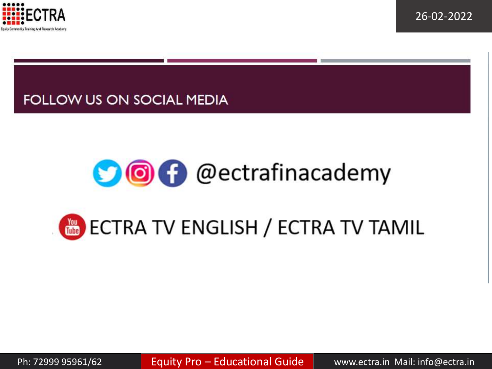

## **FOLLOW US ON SOCIAL MEDIA**

# OO O @ectrafinacademy

# **TONIE ECTRA TV ENGLISH / ECTRA TV TAMIL**

Ph: 72999 95961/62 **Equity Pro – Educational Guide | Warman Mail:** info@ectra.in Mail: info@ectra.in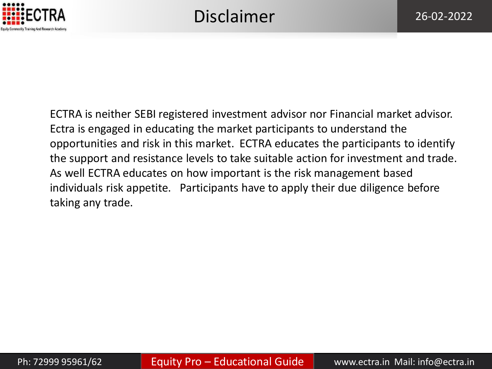

ECTRA is neither SEBI registered investment advisor nor Financial market advisor. Ectra is engaged in educating the market participants to understand the opportunities and risk in this market. ECTRA educates the participants to identify the support and resistance levels to take suitable action for investment and trade. As well ECTRA educates on how important is the risk management based individuals risk appetite. Participants have to apply their due diligence before taking any trade.